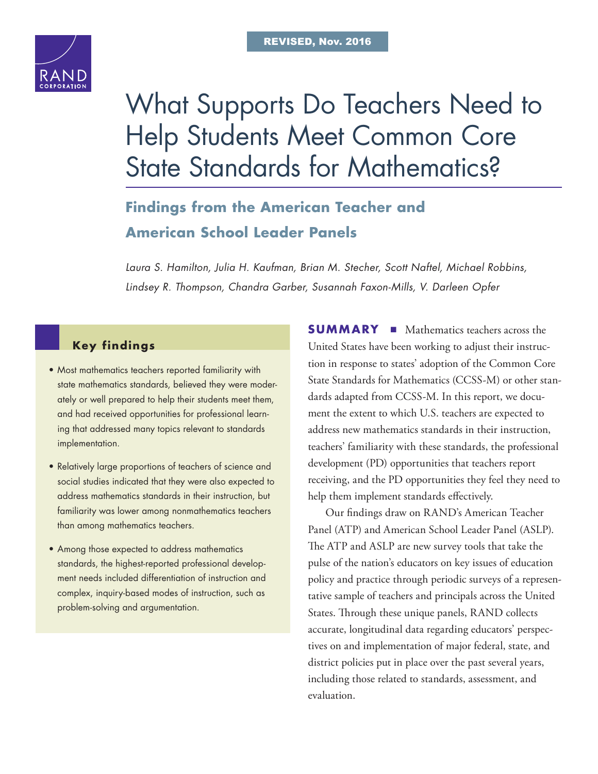

# [What Supports Do Teachers Need to](http://www.rand.org/pubs/research_reports/RR1404-1.html)  Help Students Meet Common Core State Standards for Mathematics?

# **Findings from the American Teacher and American School Leader Panels**

*Laura S. Hamilton, Julia H. Kaufman, Brian M. Stecher, Scott Naftel, Michael Robbins, Lindsey R. Thompson, Chandra Garber, Susannah Faxon-Mills, V. Darleen Opfer*

# **Key findings**

- Most mathematics teachers reported familiarity with state mathematics standards, believed they were moderately or well prepared to help their students meet them, and had received opportunities for professional learning that addressed many topics relevant to standards implementation.
- Relatively large proportions of teachers of science and social studies indicated that they were also expected to address mathematics standards in their instruction, but familiarity was lower among nonmathematics teachers than among mathematics teachers.
- Among those expected to address mathematics standards, the highest-reported professional development needs included differentiation of instruction and complex, inquiry-based modes of instruction, such as problem-solving and argumentation.

**SUMMARY** ■ Mathematics teachers across the United States have been working to adjust their instruction in response to states' adoption of the Common Core State Standards for Mathematics (CCSS-M) or other standards adapted from CCSS-M. In this report, we document the extent to which U.S. teachers are expected to address new mathematics standards in their instruction, teachers' familiarity with these standards, the professional development (PD) opportunities that teachers report receiving, and the PD opportunities they feel they need to help them implement standards effectively.

Our findings draw on RAND's American Teacher Panel (ATP) and American School Leader Panel (ASLP). The ATP and ASLP are new survey tools that take the pulse of the nation's educators on key issues of education policy and practice through periodic surveys of a representative sample of teachers and principals across the United States. Through these unique panels, RAND collects accurate, longitudinal data regarding educators' perspectives on and implementation of major federal, state, and district policies put in place over the past several years, including those related to standards, assessment, and evaluation.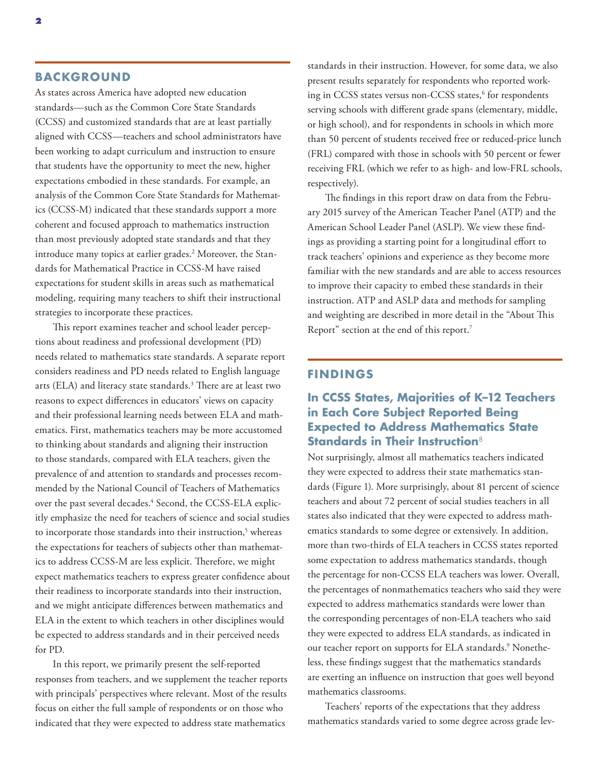#### **BACKGROUND**

As states across America have adopted new education standards—such as the Common Core State Standards (CCSS) and customized standards that are at least partially aligned with CCSS—teachers and school administrators have been working to adapt curriculum and instruction to ensure that students have the opportunity to meet the new, higher expectations embodied in these standards. For example, an analysis of the Common Core State Standards for Mathematics (CCSS-M) indicated that these standards support a more coherent and focused approach to mathematics instruction than most previously adopted state standards and that they introduce many topics at earlier grades.<sup>2</sup> Moreover, the Standards for Mathematical Practice in CCSS-M have raised expectations for student skills in areas such as mathematical modeling, requiring many teachers to shift their instructional strategies to incorporate these practices.

This report examines teacher and school leader perceptions about readiness and professional development (PD) needs related to mathematics state standards. A separate report considers readiness and PD needs related to English language arts (ELA) and literacy state standards. $^3$  There are at least two reasons to expect differences in educators' views on capacity and their professional learning needs between ELA and mathematics. First, mathematics teachers may be more accustomed to thinking about standards and aligning their instruction to those standards, compared with ELA teachers, given the prevalence of and attention to standards and processes recommended by the National Council of Teachers of Mathematics over the past several decades.<sup>4</sup> Second, the CCSS-ELA explicitly emphasize the need for teachers of science and social studies to incorporate those standards into their instruction,<sup>5</sup> whereas the expectations for teachers of subjects other than mathematics to address CCSS-M are less explicit. Therefore, we might expect mathematics teachers to express greater confidence about their readiness to incorporate standards into their instruction, and we might anticipate differences between mathematics and ELA in the extent to which teachers in other disciplines would be expected to address standards and in their perceived needs for PD.

In this report, we primarily present the self-reported responses from teachers, and we supplement the teacher reports with principals' perspectives where relevant. Most of the results focus on either the full sample of respondents or on those who indicated that they were expected to address state mathematics

standards in their instruction. However, for some data, we also present results separately for respondents who reported working in CCSS states versus non-CCSS states,6 for respondents serving schools with different grade spans (elementary, middle, or high school), and for respondents in schools in which more than 50 percent of students received free or reduced-price lunch (FRL) compared with those in schools with 50 percent or fewer receiving FRL (which we refer to as high- and low-FRL schools, respectively).

The findings in this report draw on data from the February 2015 survey of the American Teacher Panel (ATP) and the American School Leader Panel (ASLP). We view these findings as providing a starting point for a longitudinal effort to track teachers' opinions and experience as they become more familiar with the new standards and are able to access resources to improve their capacity to embed these standards in their instruction. ATP and ASLP data and methods for sampling and weighting are described in more detail in the "About This Report" section at the end of this report.7

#### **FINDINGS**

## **In CCSS States, Majorities of K–12 Teachers in Each Core Subject Reported Being Expected to Address Mathematics State Standards in Their Instruction**<sup>8</sup>

Not surprisingly, almost all mathematics teachers indicated they were expected to address their state mathematics standards (Figure 1). More surprisingly, about 81 percent of science teachers and about 72 percent of social studies teachers in all states also indicated that they were expected to address mathematics standards to some degree or extensively. In addition, more than two-thirds of ELA teachers in CCSS states reported some expectation to address mathematics standards, though the percentage for non-CCSS ELA teachers was lower. Overall, the percentages of nonmathematics teachers who said they were expected to address mathematics standards were lower than the corresponding percentages of non-ELA teachers who said they were expected to address ELA standards, as indicated in our teacher report on supports for ELA standards.<sup>9</sup> Nonetheless, these findings suggest that the mathematics standards are exerting an influence on instruction that goes well beyond mathematics classrooms.

Teachers' reports of the expectations that they address mathematics standards varied to some degree across grade lev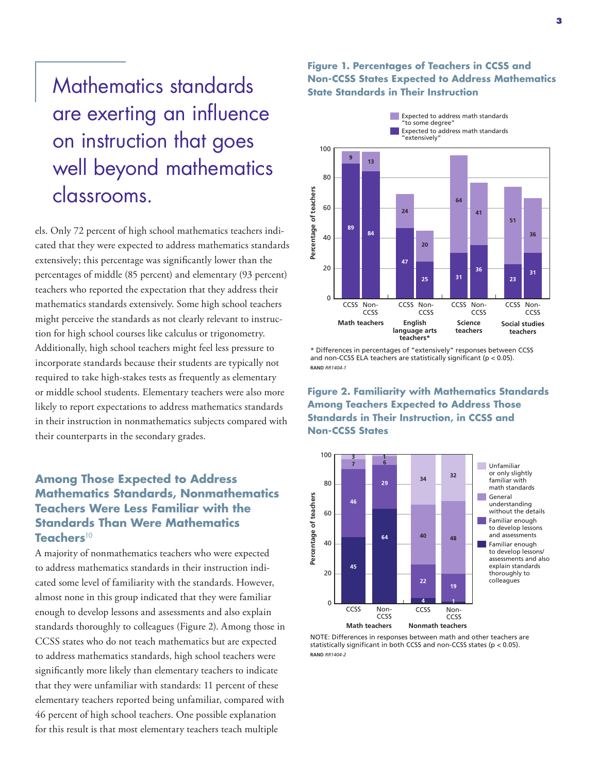Mathematics standards are exerting an influence on instruction that goes well beyond mathematics classrooms.

els. Only 72 percent of high school mathematics teachers indicated that they were expected to address mathematics standards extensively; this percentage was significantly lower than the percentages of middle (85 percent) and elementary (93 percent) teachers who reported the expectation that they address their mathematics standards extensively. Some high school teachers might perceive the standards as not clearly relevant to instruction for high school courses like calculus or trigonometry. Additionally, high school teachers might feel less pressure to incorporate standards because their students are typically not required to take high-stakes tests as frequently as elementary or middle school students. Elementary teachers were also more likely to report expectations to address mathematics standards in their instruction in nonmathematics subjects compared with their counterparts in the secondary grades.

# **Among Those Expected to Address Mathematics Standards, Nonmathematics Teachers Were Less Familiar with the Standards Than Were Mathematics Teachers**<sup>10</sup>

A majority of nonmathematics teachers who were expected to address mathematics standards in their instruction indicated some level of familiarity with the standards. However, almost none in this group indicated that they were familiar enough to develop lessons and assessments and also explain standards thoroughly to colleagues (Figure 2). Among those in CCSS states who do not teach mathematics but are expected to address mathematics standards, high school teachers were significantly more likely than elementary teachers to indicate that they were unfamiliar with standards: 11 percent of these elementary teachers reported being unfamiliar, compared with 46 percent of high school teachers. One possible explanation for this result is that most elementary teachers teach multiple

### **Figure 1. Percentages of Teachers in CCSS and Non-CCSS States Expected to Address Mathematics State Standards in Their Instruction**



\* Differences in percentages of "extensively" responses between CCSS and non-CCSS ELA teachers are statistically significant (p < 0.05). **RAND** *RR1404-1*

**Figure 2. Familiarity with Mathematics Standards Among Teachers Expected to Address Those Standards in Their Instruction, in CCSS and Non-CCSS States** 



NOTE: Differences in responses between math and other teachers are statistically significant in both CCSS and non-CCSS states (p < 0.05). **RAND** *RR1404-2*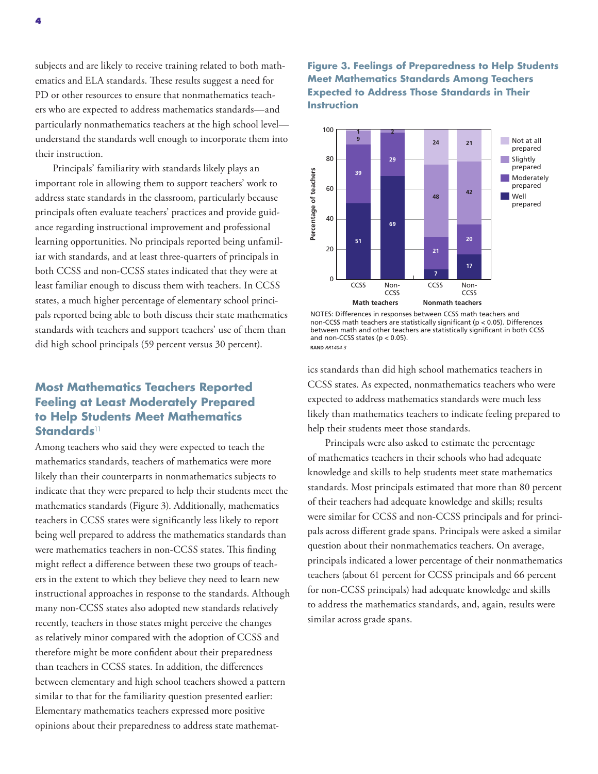subjects and are likely to receive training related to both mathematics and ELA standards. These results suggest a need for PD or other resources to ensure that nonmathematics teachers who are expected to address mathematics standards—and particularly nonmathematics teachers at the high school level understand the standards well enough to incorporate them into their instruction.

Principals' familiarity with standards likely plays an important role in allowing them to support teachers' work to address state standards in the classroom, particularly because principals often evaluate teachers' practices and provide guidance regarding instructional improvement and professional learning opportunities. No principals reported being unfamiliar with standards, and at least three-quarters of principals in both CCSS and non-CCSS states indicated that they were at least familiar enough to discuss them with teachers. In CCSS states, a much higher percentage of elementary school principals reported being able to both discuss their state mathematics standards with teachers and support teachers' use of them than did high school principals (59 percent versus 30 percent).

## **Most Mathematics Teachers Reported Feeling at Least Moderately Prepared to Help Students Meet Mathematics Standards**<sup>11</sup>

Among teachers who said they were expected to teach the mathematics standards, teachers of mathematics were more likely than their counterparts in nonmathematics subjects to indicate that they were prepared to help their students meet the mathematics standards (Figure 3). Additionally, mathematics teachers in CCSS states were significantly less likely to report being well prepared to address the mathematics standards than were mathematics teachers in non-CCSS states. This finding might reflect a difference between these two groups of teachers in the extent to which they believe they need to learn new instructional approaches in response to the standards. Although many non-CCSS states also adopted new standards relatively recently, teachers in those states might perceive the changes as relatively minor compared with the adoption of CCSS and therefore might be more confident about their preparedness than teachers in CCSS states. In addition, the differences between elementary and high school teachers showed a pattern similar to that for the familiarity question presented earlier: Elementary mathematics teachers expressed more positive opinions about their preparedness to address state mathemat-

#### **Figure 3. Feelings of Preparedness to Help Students Meet Mathematics Standards Among Teachers Expected to Address Those Standards in Their Instruction**



NOTES: Differences in responses between CCSS math teachers and non-CCSS math teachers are statistically significant (p < 0.05). Differences between math and other teachers are statistically significant in both CCSS and non-CCSS states ( $p < 0.05$ ). **RAND** *RR1404-3*

ics standards than did high school mathematics teachers in CCSS states. As expected, nonmathematics teachers who were expected to address mathematics standards were much less likely than mathematics teachers to indicate feeling prepared to help their students meet those standards.

Principals were also asked to estimate the percentage of mathematics teachers in their schools who had adequate knowledge and skills to help students meet state mathematics standards. Most principals estimated that more than 80 percent of their teachers had adequate knowledge and skills; results were similar for CCSS and non-CCSS principals and for principals across different grade spans. Principals were asked a similar question about their nonmathematics teachers. On average, principals indicated a lower percentage of their nonmathematics teachers (about 61 percent for CCSS principals and 66 percent for non-CCSS principals) had adequate knowledge and skills to address the mathematics standards, and, again, results were similar across grade spans.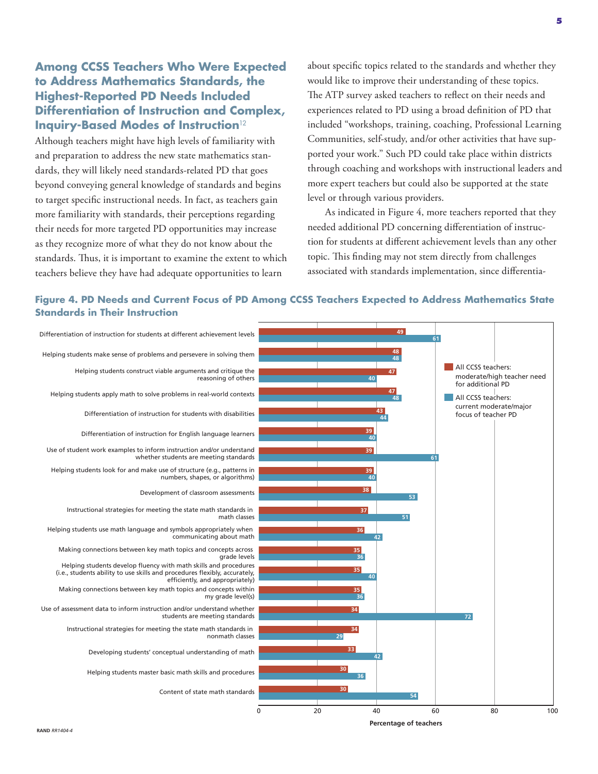# **Among CCSS Teachers Who Were Expected to Address Mathematics Standards, the Highest-Reported PD Needs Included Differentiation of Instruction and Complex, Inquiry-Based Modes of Instruction**<sup>12</sup>

Although teachers might have high levels of familiarity with and preparation to address the new state mathematics standards, they will likely need standards-related PD that goes beyond conveying general knowledge of standards and begins to target specific instructional needs. In fact, as teachers gain more familiarity with standards, their perceptions regarding their needs for more targeted PD opportunities may increase as they recognize more of what they do not know about the standards. Thus, it is important to examine the extent to which teachers believe they have had adequate opportunities to learn

about specific topics related to the standards and whether they would like to improve their understanding of these topics. The ATP survey asked teachers to reflect on their needs and experiences related to PD using a broad definition of PD that included "workshops, training, coaching, Professional Learning Communities, self-study, and/or other activities that have supported your work." Such PD could take place within districts through coaching and workshops with instructional leaders and more expert teachers but could also be supported at the state level or through various providers.

As indicated in Figure 4, more teachers reported that they needed additional PD concerning differentiation of instruction for students at different achievement levels than any other topic. This finding may not stem directly from challenges associated with standards implementation, since differentia-



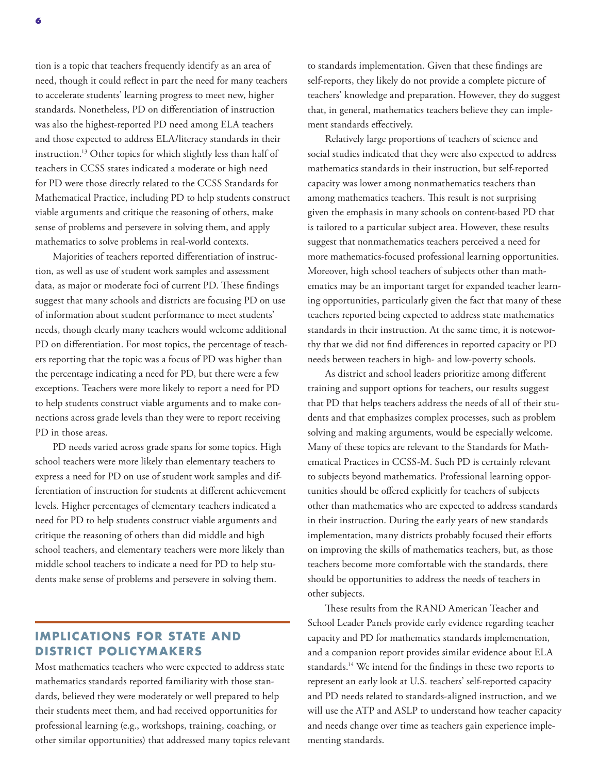tion is a topic that teachers frequently identify as an area of need, though it could reflect in part the need for many teachers to accelerate students' learning progress to meet new, higher standards. Nonetheless, PD on differentiation of instruction was also the highest-reported PD need among ELA teachers and those expected to address ELA/literacy standards in their instruction.13 Other topics for which slightly less than half of teachers in CCSS states indicated a moderate or high need for PD were those directly related to the CCSS Standards for Mathematical Practice, including PD to help students construct viable arguments and critique the reasoning of others, make sense of problems and persevere in solving them, and apply mathematics to solve problems in real-world contexts.

Majorities of teachers reported differentiation of instruction, as well as use of student work samples and assessment data, as major or moderate foci of current PD. These findings suggest that many schools and districts are focusing PD on use of information about student performance to meet students' needs, though clearly many teachers would welcome additional PD on differentiation. For most topics, the percentage of teachers reporting that the topic was a focus of PD was higher than the percentage indicating a need for PD, but there were a few exceptions. Teachers were more likely to report a need for PD to help students construct viable arguments and to make connections across grade levels than they were to report receiving PD in those areas.

PD needs varied across grade spans for some topics. High school teachers were more likely than elementary teachers to express a need for PD on use of student work samples and differentiation of instruction for students at different achievement levels. Higher percentages of elementary teachers indicated a need for PD to help students construct viable arguments and critique the reasoning of others than did middle and high school teachers, and elementary teachers were more likely than middle school teachers to indicate a need for PD to help students make sense of problems and persevere in solving them.

# **IMPLICATIONS FOR STATE AND DISTRICT POLICYMAKERS**

Most mathematics teachers who were expected to address state mathematics standards reported familiarity with those standards, believed they were moderately or well prepared to help their students meet them, and had received opportunities for professional learning (e.g., workshops, training, coaching, or other similar opportunities) that addressed many topics relevant to standards implementation. Given that these findings are self-reports, they likely do not provide a complete picture of teachers' knowledge and preparation. However, they do suggest that, in general, mathematics teachers believe they can implement standards effectively.

Relatively large proportions of teachers of science and social studies indicated that they were also expected to address mathematics standards in their instruction, but self-reported capacity was lower among nonmathematics teachers than among mathematics teachers. This result is not surprising given the emphasis in many schools on content-based PD that is tailored to a particular subject area. However, these results suggest that nonmathematics teachers perceived a need for more mathematics-focused professional learning opportunities. Moreover, high school teachers of subjects other than mathematics may be an important target for expanded teacher learning opportunities, particularly given the fact that many of these teachers reported being expected to address state mathematics standards in their instruction. At the same time, it is noteworthy that we did not find differences in reported capacity or PD needs between teachers in high- and low-poverty schools.

As district and school leaders prioritize among different training and support options for teachers, our results suggest that PD that helps teachers address the needs of all of their students and that emphasizes complex processes, such as problem solving and making arguments, would be especially welcome. Many of these topics are relevant to the Standards for Mathematical Practices in CCSS-M. Such PD is certainly relevant to subjects beyond mathematics. Professional learning opportunities should be offered explicitly for teachers of subjects other than mathematics who are expected to address standards in their instruction. During the early years of new standards implementation, many districts probably focused their efforts on improving the skills of mathematics teachers, but, as those teachers become more comfortable with the standards, there should be opportunities to address the needs of teachers in other subjects.

These results from the RAND American Teacher and School Leader Panels provide early evidence regarding teacher capacity and PD for mathematics standards implementation, and a companion report provides similar evidence about ELA standards.14 We intend for the findings in these two reports to represent an early look at U.S. teachers' self-reported capacity and PD needs related to standards-aligned instruction, and we will use the ATP and ASLP to understand how teacher capacity and needs change over time as teachers gain experience implementing standards.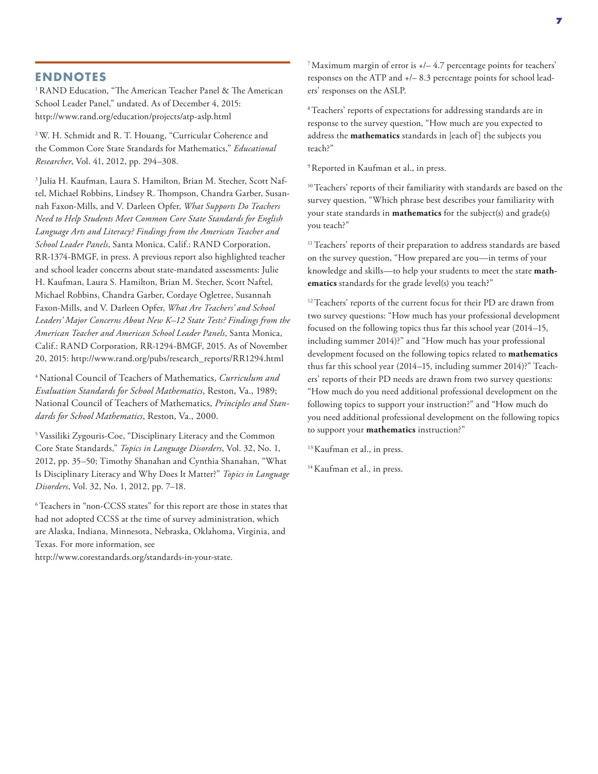#### **ENDNOTES**

<sup>1</sup> RAND Education, "The American Teacher Panel & The American School Leader Panel," undated. As of December 4, 2015: <http://www.rand.org/education/projects/atp-aslp.html>

2 W. H. Schmidt and R. T. Houang, "Curricular Coherence and the Common Core State Standards for Mathematics," *Educational Researcher*, Vol. 41, 2012, pp. 294–308.

3 Julia H. Kaufman, Laura S. Hamilton, Brian M. Stecher, Scott Naftel, Michael Robbins, Lindsey R. Thompson, Chandra Garber, Susannah Faxon-Mills, and V. Darleen Opfer, *What Supports Do Teachers Need to Help Students Meet Common Core State Standards for English Language Arts and Literacy? Findings from the American Teacher and School Leader Panels*, Santa Monica, Calif.: RAND Corporation, RR-1374-BMGF, in press. A previous report also highlighted teacher and school leader concerns about state-mandated assessments: Julie H. Kaufman, Laura S. Hamilton, Brian M. Stecher, Scott Naftel, Michael Robbins, Chandra Garber, Cordaye Ogletree, Susannah Faxon-Mills, and V. Darleen Opfer, *What Are Teachers' and School Leaders' Major Concerns About New K–12 State Tests? Findings from the American Teacher and American School Leader Panels*, Santa Monica, Calif.: RAND Corporation, RR-1294-BMGF, 2015. As of November 20, 2015: [http://www.rand.org/pubs/research\\_reports/RR1294.html](http://www.rand.org/pubs/research_reports/RR1294.html)

4National Council of Teachers of Mathematics, *Curriculum and Evaluation Standards for School Mathematics*, Reston, Va., 1989; National Council of Teachers of Mathematics, *Principles and Standards for School Mathematics*, Reston, Va., 2000.

5 Vassiliki Zygouris-Coe, "Disciplinary Literacy and the Common Core State Standards," *Topics in Language Disorders*, Vol. 32, No. 1, 2012, pp. 35–50; Timothy Shanahan and Cynthia Shanahan, "What Is Disciplinary Literacy and Why Does It Matter?" *Topics in Language Disorders*, Vol. 32, No. 1, 2012, pp. 7–18.

6 Teachers in "non-CCSS states" for this report are those in states that had not adopted CCSS at the time of survey administration, which are Alaska, Indiana, Minnesota, Nebraska, Oklahoma, Virginia, and Texas. For more information, see

[http://www.corestandards.org/standards-in-your-state.](http://www.corestandards.org/standards-in-your-state)

<sup>7</sup> Maximum margin of error is  $+/- 4.7$  percentage points for teachers' responses on the ATP and +/– 8.3 percentage points for school leaders' responses on the ASLP.

8 Teachers' reports of expectations for addressing standards are in response to the survey question, "How much are you expected to address the **mathematics** standards in [each of] the subjects you teach?"

<sup>9</sup> Reported in Kaufman et al., in press.

<sup>10</sup> Teachers' reports of their familiarity with standards are based on the survey question, "Which phrase best describes your familiarity with your state standards in **mathematics** for the subject(s) and grade(s) you teach?"

<sup>11</sup> Teachers' reports of their preparation to address standards are based on the survey question, "How prepared are you—in terms of your knowledge and skills—to help your students to meet the state **mathematics** standards for the grade level(s) you teach?"

<sup>12</sup> Teachers' reports of the current focus for their PD are drawn from two survey questions: "How much has your professional development focused on the following topics thus far this school year (2014–15, including summer 2014)?" and "How much has your professional development focused on the following topics related to **mathematics** thus far this school year (2014–15, including summer 2014)?" Teachers' reports of their PD needs are drawn from two survey questions: "How much do you need additional professional development on the following topics to support your instruction?" and "How much do you need additional professional development on the following topics to support your **mathematics** instruction?"

<sup>13</sup> Kaufman et al., in press.

<sup>14</sup> Kaufman et al., in press.